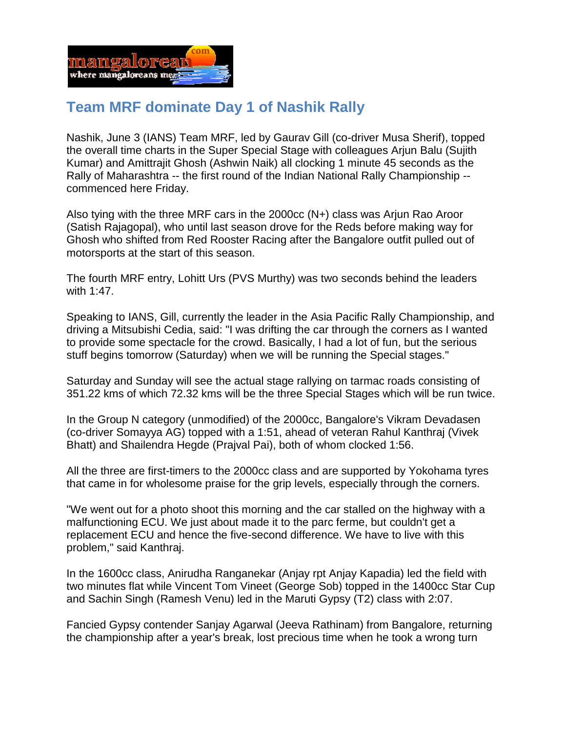

## **Team MRF dominate Day 1 of Nashik Rally**

Nashik, June 3 (IANS) Team MRF, led by Gaurav Gill (co-driver Musa Sherif), topped the overall time charts in the Super Special Stage with colleagues Arjun Balu (Sujith Kumar) and Amittrajit Ghosh (Ashwin Naik) all clocking 1 minute 45 seconds as the Rally of Maharashtra -- the first round of the Indian National Rally Championship - commenced here Friday.

Also tying with the three MRF cars in the 2000cc (N+) class was Arjun Rao Aroor (Satish Rajagopal), who until last season drove for the Reds before making way for Ghosh who shifted from Red Rooster Racing after the Bangalore outfit pulled out of motorsports at the start of this season.

The fourth MRF entry, Lohitt Urs (PVS Murthy) was two seconds behind the leaders with 1:47.

Speaking to IANS, Gill, currently the leader in the Asia Pacific Rally Championship, and driving a Mitsubishi Cedia, said: "I was drifting the car through the corners as I wanted to provide some spectacle for the crowd. Basically, I had a lot of fun, but the serious stuff begins tomorrow (Saturday) when we will be running the Special stages."

Saturday and Sunday will see the actual stage rallying on tarmac roads consisting of 351.22 kms of which 72.32 kms will be the three Special Stages which will be run twice.

In the Group N category (unmodified) of the 2000cc, Bangalore's Vikram Devadasen (co-driver Somayya AG) topped with a 1:51, ahead of veteran Rahul Kanthraj (Vivek Bhatt) and Shailendra Hegde (Prajval Pai), both of whom clocked 1:56.

All the three are first-timers to the 2000cc class and are supported by Yokohama tyres that came in for wholesome praise for the grip levels, especially through the corners.

"We went out for a photo shoot this morning and the car stalled on the highway with a malfunctioning ECU. We just about made it to the parc ferme, but couldn't get a replacement ECU and hence the five-second difference. We have to live with this problem," said Kanthraj.

In the 1600cc class, Anirudha Ranganekar (Anjay rpt Anjay Kapadia) led the field with two minutes flat while Vincent Tom Vineet (George Sob) topped in the 1400cc Star Cup and Sachin Singh (Ramesh Venu) led in the Maruti Gypsy (T2) class with 2:07.

Fancied Gypsy contender Sanjay Agarwal (Jeeva Rathinam) from Bangalore, returning the championship after a year's break, lost precious time when he took a wrong turn